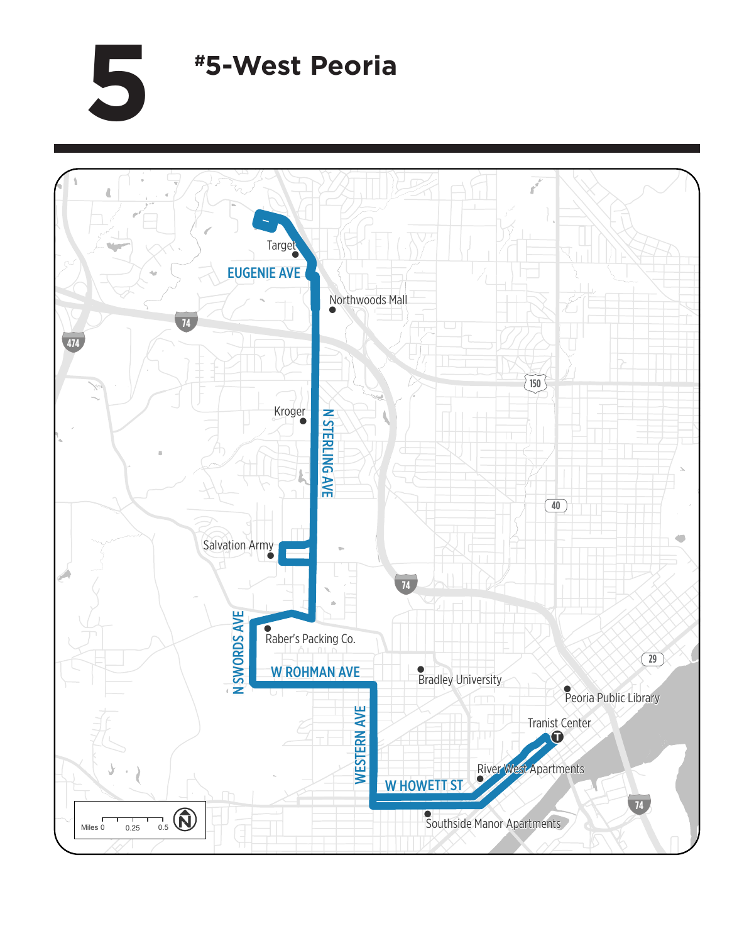